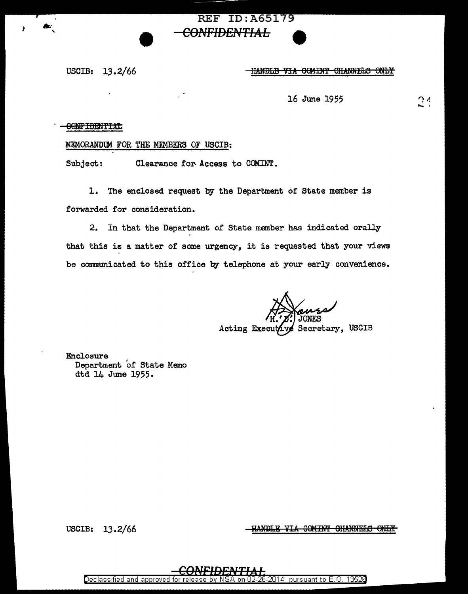## **REF ID: A65179** <del>CONFIDENTIAL</del>

USCIB:  $13.2/66$ 

<del>IIANDLE VIA</del> **COMINT CHANNELS ONLY** 

16 June 1955

# $24$

### **CONFIDENTIAL**

#### MEMORANDUM FOR THE MEMBERS OF USCIB:

Clearance for Access to COMINT. Subject:

1. The enclosed request by the Department of State member is forwarded for consideration.

2. In that the Department of State member has indicated orally that this is a matter of some urgency, it is requested that your views be communicated to this office by telephone at your early convenience.

Secretary, USCIB Acting Executiv

Enclosure Department of State Memo dtd 14 June 1955.

USCIB:  $13.2/66$ 

<u>HANDLE VIA COMINT GHANNELS ONLY</u>